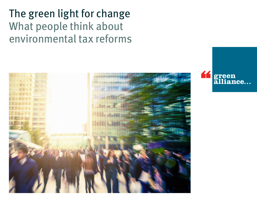The green light for change What people think about environmental tax reforms



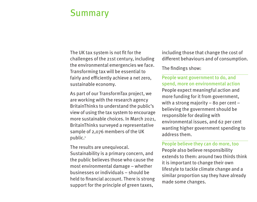# Summary

The UK tax system is not fit for the challenges of the 21st century, including the environmental emergencies we face. Transforming tax will be essential to fairly and efficiently achieve a net zero, sustainable economy.

As part of our TransformTax project, we are working with the research agency BritainThinks to understand the public's view of using the tax system to encourage more sustainable choices. In March 2021, BritainThinks surveyed a representative sample of 2,076 members of the UK public.<sup>1</sup>

The results are unequivocal. Sustainability is a primary concern, and the public believes those who cause the most environmental damage – whether businesses or individuals – should be held to financial account. There is strong support for the principle of green taxes,

including those that change the cost of different behaviours and of consumption.

The findings show:

People want government to do, and spend, more on environmental action People expect meaningful action and more funding for it from government, with a strong majority – 80 per cent – believing the government should be responsible for dealing with environmental issues, and 62 per cent wanting higher government spending to address them.

#### People believe they can do more, too

People also believe responsibility extends to them: around two thirds think it is important to change their own lifestyle to tackle climate change and a similar proportion say they have already made some changes.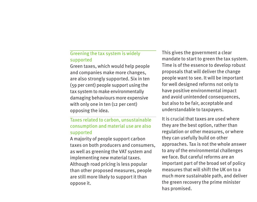## Greening the tax system is widely supported

Green taxes, which would help people and companies make more changes, are also strongly supported. Six in ten (59 per cent) people support using the tax system to make environmentally damaging behaviours more expensive with only one in ten (12 per cent) opposing the idea.

## Taxes related to carbon, unsustainable consumption and material use are also supported

A majority of people support carbon taxes on both producers and consumers, as well as greening the VAT system and implementing new material taxes. Although road pricing is less popular than other proposed measures, people are still more likely to support it than oppose it.

This gives the government a clear mandate to start to green the tax system. Time is of the essence to develop robust proposals that will deliver the change people want to see. It will be important for well designed reforms not only to have positive environmental impact and avoid unintended consequences, but also to be fair, acceptable and understandable to taxpayers.

It is crucial that taxes are used where they are the best option, rather than regulation or other measures, or where they can usefully build on other approaches. Tax is not the whole answer to any of the environmental challenges we face. But careful reforms are an important part of the broad set of policy measures that will shift the UK on to a much more sustainable path, and deliver the green recovery the prime minister has promised.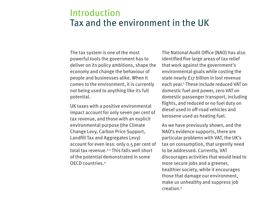# Introduction Tax and the environment in the UK

The tax system is one of the most powerful tools the government has to deliver on its policy ambitions, shape the economy and change the behaviour of people and businesses alike. When it comes to the environment, it is currently not being used to anything like its full potential.

UK taxes with a positive environmental impact account for only seven per cent of tax revenue, and those with an explicit environmental purpose (the Climate Change Levy, Carbon Price Support, Landfill Tax and Aggregates Levy) account for even less: only 0.5 per cent of total tax revenue.2,3 This falls well short of the potential demonstrated in some OECD countries.4

The National Audit Office (NAO) has also identified five large areas of tax relief that work against the government's environmental goals while costing the state nearly £17 billion in lost revenue each year.5 These include reduced VAT on domestic fuel and power, zero VAT on domestic passenger transport, including flights, and reduced or no fuel duty on diesel used in off-road vehicles and kerosene used as heating fuel.

As we have previously shown, and the NAO's evidence supports, there are particular problems with VAT, the UK's tax on consumption, that urgently need to be addressed. Currently, VAT discourages activities that would lead to more secure jobs and a greener, healthier society, while it encourages those that damage our environment, make us unhealthy and suppress job creation.6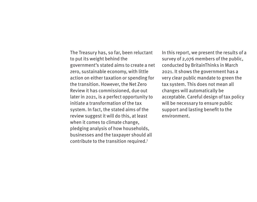The Treasury has, so far, been reluctant to put its weight behind the government's stated aims to create a net zero, sustainable economy, with little action on either taxation or spending for the transition. However, the Net Zero Review it has commissioned, due out later in 2021, is a perfect opportunity to initiate a transformation of the tax system. In fact, the stated aims of the review suggest it will do this, at least when it comes to climate change, pledging analysis of how households, businesses and the taxpayer should all contribute to the transition required.7

In this report, we present the results of a survey of 2,076 members of the public, conducted by BritainThinks in March 2021. It shows the government has a very clear public mandate to green the tax system. This does not mean all changes will automatically be acceptable. Careful design of tax policy will be necessary to ensure public support and lasting benefit to the environment.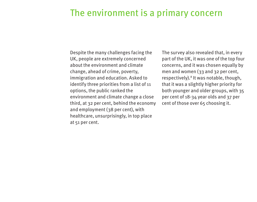# The environment is a primary concern

Despite the many challenges facing the UK, people are extremely concerned about the environment and climate change, ahead of crime, poverty, immigration and education. Asked to identify three priorities from a list of 11 options, the public ranked the environment and climate change a close third, at 32 per cent, behind the economy and employment (38 per cent), with healthcare, unsurprisingly, in top place at 51 per cent.

The survey also revealed that, in every part of the UK, it was one of the top four concerns, and it was chosen equally by men and women (33 and 32 per cent, respectively).<sup>8</sup> It was notable, though, that it was a slightly higher priority for both younger and older groups, with 35 per cent of 18-34 year olds and 37 per cent of those over 65 choosing it.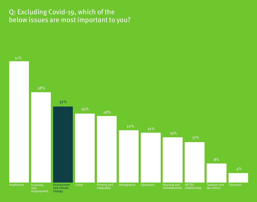## Q: Excluding Covid-19, which of the below issues are most important to you?

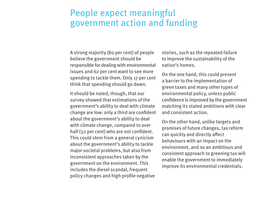# People expect meaningful government action and funding

A strong majority (80 per cent) of people believe the government should be responsible for dealing with environmental issues and 62 per cent want to see more spending to tackle them. Only 17 per cent think that spending should go down.

It should be noted, though, that our survey showed that estimations of the government's ability to deal with climate change are low: only a third are confident about the government's ability to deal with climate change, compared to over half (52 per cent) who are not confident. This could stem from a general cynicism about the government's ability to tackle major societal problems, but also from inconsistent approaches taken by the government on the environment. This includes the diesel scandal, frequent policy changes and high profile negative

stories, such as the repeated failure to improve the sustainability of the nation's homes.

On the one hand, this could present a barrier to the implementation of green taxes and many other types of environmental policy, unless public confidence is improved by the government matching its stated ambitions with clear and consistent action.

On the other hand, unlike targets and promises of future changes, tax reform can quickly and directly affect behaviours with an impact on the environment, and so an ambitious and consistent approach to greening tax will enable the government to immediately improve its environmental credentials.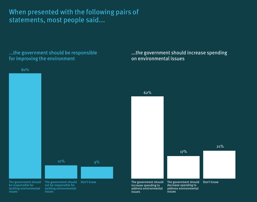When presented with the following pairs of statements, most people said...

...the government should be responsible for improving the environment



...the government should increase spending

on environmental issues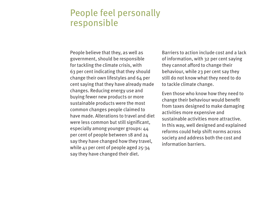# People feel personally responsible

People believe that they, as well as government, should be responsible for tackling the climate crisis, with 63 per cent indicating that they should change their own lifestyles and 64 per cent saying that they have already made changes. Reducing energy use and buying fewer new products or more sustainable products were the most common changes people claimed to have made. Alterations to travel and diet were less common but still significant, especially among younger groups: 44 per cent of people between 18 and 24 say they have changed how they travel, while 41 per cent of people aged 25-34 say they have changed their diet.

Barriers to action include cost and a lack of information, with 32 per cent saying they cannot afford to change their behaviour, while 23 per cent say they still do not know what they need to do to tackle climate change.

Even those who know how they need to change their behaviour would benefit from taxes designed to make damaging activities more expensive and sustainable activities more attractive. In this way, well designed and explained reforms could help shift norms across society and address both the cost and information barriers.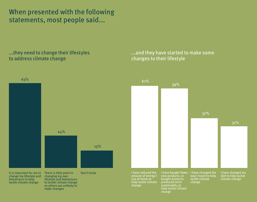When presented with the following statements, most people said...

...they need to change their lifestyles to address climate change

tackle climate change



to tackle climate change as others are unlikely to make changes

## ...and they have started to make some changes to their lifestyle

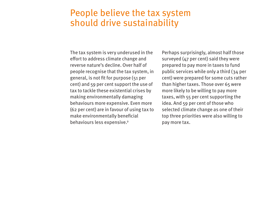## People believe the tax system should drive sustainability

The tax system is very underused in the effort to address climate change and reverse nature's decline. Over half of people recognise that the tax system, in general, is not fit for purpose (51 per cent) and 59 per cent support the use of tax to tackle these existential crises by making environmentally damaging behaviours more expensive. Even more (62 per cent) are in favour of using tax to make environmentally beneficial behaviours less expensive.9

Perhaps surprisingly, almost half those surveyed (47 per cent) said they were prepared to pay more in taxes to fund public services while only a third (34 per cent) were prepared for some cuts rather than higher taxes. Those over 65 were more likely to be willing to pay more taxes, with 55 per cent supporting the idea. And 59 per cent of those who selected climate change as one of their top three priorities were also willing to pay more tax.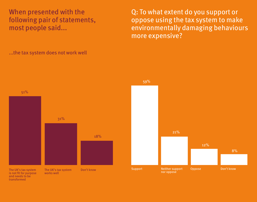When presented with the following pair of statements, most people said...

Q: To what extent do you support or oppose using the tax system to make environmentally damaging behaviours more expensive?



...the tax system does not work well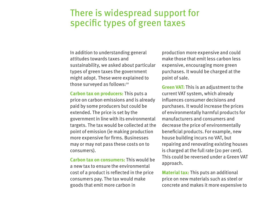# There is widespread support for specific types of green taxes

In addition to understanding general attitudes towards taxes and sustainability, we asked about particular types of green taxes the government might adopt. These were explained to those surveyed as follows:<sup>10</sup>

**Carbon tax on producers:** This puts a price on carbon emissions and is already paid by some producers but could be extended. The price is set by the government in line with its environmental targets. The tax would be collected at the point of emission (ie making production more expensive for firms. Businesses may or may not pass these costs on to consumers).

**Carbon tax on consumers:** This would be a new tax to ensure the environmental cost of a product is reflected in the price consumers pay. The tax would make goods that emit more carbon in

production more expensive and could make those that emit less carbon less expensive, encouraging more green purchases. It would be charged at the point of sale.

**Green VAT:** This is an adjustment to the current VAT system, which already influences consumer decisions and purchases. It would increase the prices of environmentally harmful products for manufacturers and consumers and decrease the price of environmentally beneficial products. For example, new house building incurs no VAT, but repairing and renovating existing houses is charged at the full rate (20 per cent). This could be reversed under a Green VAT approach.

**Material tax:** This puts an additional price on new materials such as steel or concrete and makes it more expensive to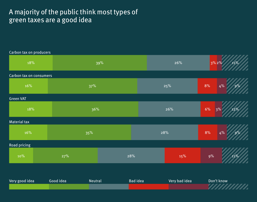## A majority of the public think most types of green taxes are a good idea

| Carbon tax on producers |           |         |     |                                                |     |       |             |  |
|-------------------------|-----------|---------|-----|------------------------------------------------|-----|-------|-------------|--|
| 18%                     |           | 39%     |     |                                                | 26% |       | 3%2%<br>11% |  |
| Carbon tax on consumers |           |         |     |                                                |     |       |             |  |
| 16%                     |           | 37%     |     |                                                | 25% |       | 4%<br>9%    |  |
| <b>Green VAT</b>        |           |         |     |                                                |     |       |             |  |
| 18%                     |           | 36%     |     |                                                | 26% |       | 12%<br>3%   |  |
| <b>Material tax</b>     |           |         |     |                                                |     |       |             |  |
| 16%                     |           | 35%     |     |                                                | 28% |       | 4%<br>9%    |  |
| Road pricing            |           |         |     |                                                |     |       |             |  |
| 10%                     | 27%       |         | 28% |                                                | 15% | $9\%$ | 11%         |  |
|                         |           |         |     |                                                |     |       |             |  |
| Very good idea          | Good idea | Neutral |     | Don't know<br><b>Bad idea</b><br>Very bad idea |     |       |             |  |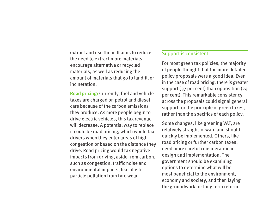extract and use them. It aims to reduce the need to extract more materials, encourage alternative or recycled materials, as well as reducing the amount of materials that go to landfill or incineration.

**Road pricing:** Currently, fuel and vehicle taxes are charged on petrol and diesel cars because of the carbon emissions they produce. As more people begin to drive electric vehicles, this tax revenue will decrease. A potential way to replace it could be road pricing, which would tax drivers when they enter areas of high congestion or based on the distance they drive. Road pricing would tax negative impacts from driving, aside from carbon, such as congestion, traffic noise and environmental impacts, like plastic particle pollution from tyre wear.

### Support is consistent

For most green tax policies, the majority of people thought that the more detailed policy proposals were a good idea. Even in the case of road pricing, there is greater support (37 per cent) than opposition (24 per cent). This remarkable consistency across the proposals could signal general support for the principle of green taxes, rather than the specifics of each policy.

Some changes, like greening VAT, are relatively straightforward and should quickly be implemented. Others, like road pricing or further carbon taxes, need more careful consideration in design and implementation. The government should be examining options to determine what will be most beneficial to the environment, economy and society, and then laying the groundwork for long term reform.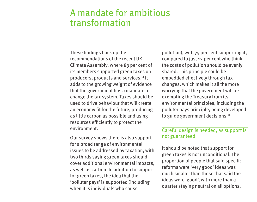# A mandate for ambitious transformation

These findings back up the recommendations of the recent UK Climate Assembly, where 83 per cent of its members supported green taxes on producers, products and services.<sup>11</sup> It adds to the growing weight of evidence that the government has a mandate to change the tax system. Taxes should be used to drive behaviour that will create an economy fit for the future, producing as little carbon as possible and using resources efficiently to protect the environment.

Our survey shows there is also support for a broad range of environmental issues to be addressed by taxation, with two thirds saying green taxes should cover additional environmental impacts, as well as carbon. In addition to support for green taxes, the idea that the 'polluter pays' is supported (including when it is individuals who cause

pollution), with 75 per cent supporting it, compared to just 12 per cent who think the costs of pollution should be evenly shared. This principle could be embedded effectively through tax changes, which makes it all the more worrying that the government will be exempting the Treasury from its environmental principles, including the polluter pays principle, being developed to guide government decisions.<sup>12</sup>

## Careful design is needed, as support is not guaranteed

It should be noted that support for green taxes is not unconditional. The proportion of people that said specific reforms were 'very good' ideas was much smaller than those that said the ideas were 'good', with more than a quarter staying neutral on all options.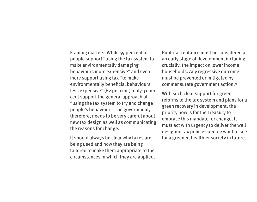Framing matters. While 59 per cent of people support "using the tax system to make environmentally damaging behaviours more expensive" and even more support using tax "to make environmentally beneficial behaviours less expensive" (62 per cent), only 31 per cent support the general approach of "using the tax system to try and change people's behaviour". The government, therefore, needs to be very careful about new tax design as well as communicating the reasons for change.

It should always be clear why taxes are being used and how they are being tailored to make them appropriate to the circumstances in which they are applied. Public acceptance must be considered at an early stage of development including, crucially, the impact on lower income households. Any regressive outcome must be prevented or mitigated by commensurate government action.13

With such clear support for green reforms to the tax system and plans for a green recovery in development, the priority now is for the Treasury to embrace this mandate for change. It must act with urgency to deliver the well designed tax policies people want to see for a greener, healthier society in future.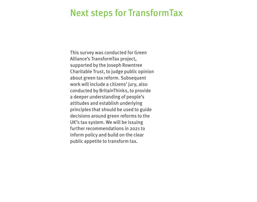## Next steps for TransformTax

This survey was conducted for Green Alliance's TransformTax project, supported by the Joseph Rowntree Charitable Trust, to judge public opinion about green tax reform. Subsequent work will include a citizens' jury, also conducted by BritainThinks, to provide a deeper understanding of people's attitudes and establish underlying principles that should be used to guide decisions around green reforms to the UK's tax system. We will be issuing further recommendations in 2021 to inform policy and build on the clear public appetite to transform tax.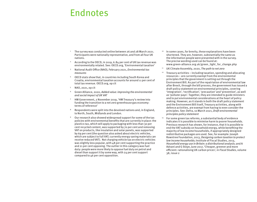## Endnotes

- <sup>1</sup> The survey was conducted online between 26 and 28 March 2021. Participants were nationally representative, and from all four UK nations.
- <sup>2</sup> According to the OECD, in 2019, 6.84 per cent of UK tax revenue was environmentally related. See: OECD.org, 'Environmental taxation'
- <sup>3</sup> National Audit Office (NAO), February 2021, *Environmental tax measures*
- <sup>4</sup> OECD stats show that, in countries including South Korea and Croatia, environmental taxation accounts for around 11 per cent of total tax revenue. OECD.org, op cit
- <sup>5</sup> NAO, 2021, op cit
- <sup>6</sup> Green Alliance, 2020, *Added value: improving the environmental and social impact of UK VAT*
- <sup>7</sup> HM Government, 2 November 2019, 'HM Treasury's review into funding the transition to a net zero greenhouse gas economy: terms of reference'
- <sup>8</sup> Respondents were split into the devolved nations and, in England, to North, South, Midlands and London.
- <sup>9</sup> Our research also showed widespread support for some of the tax policies with environmental benefits that are currently in place: the plastics tax, which will apply to packaging with less than 30 per cent recycled content, was supported by 70 per cent and removing VAT on products, like insulation and solar panels, was supported by 69 per cent (the question also asked about electric vehicles, which are subject to full VAT; currently energy saving materials can receive reduced VAT). Not charging vehicle tax on electric vehicles was slightly less popular, with  $48$  per cent supporting the practice and 21 per cent opposing. The outlier in this category was fuel duty: people were more likely to oppose fuel duty on petrol and diesel than support it by some way, with 24 per cent support compared to 46 per cent opposition.
- <sup>10</sup> In some cases, for brevity, these explanations have been shortened. They are, however, substantially the same as the information people were presented with in the survey. The precise wording used can be found at: www.green-alliance.org.uk/green\_light\_for\_change.php
- <sup>11</sup> UK Climate Assembly, 2020, *The path to net zero*
- $12$  Treasury activities including taxation, spending and allocating resources – are currently exempt from the environmental principles that the government is setting out through the Environment Bill. As part of the repatriation of environmental law after Brexit, through the bill process, the government has issued a draft policy statement on environmental principles, covering 'integration', 'rectification', 'precaution' and 'prevention', as well as 'polluter pays'. Together, they are intended to guide ministers and to put environmental considerations at the heart of policy making. However, as it stands in both the draft policy statement and the Environment Bill itself, Treasury activities, along with defence activities, are exempt from having to even consider the principles. See: Defra, 10 March 2021, *Draft environmental principles policy statement*
- <sup>13</sup> For some green tax reforms, a substantial body of evidence indicates it is possible to minimise harm to poorer households. Previous research has shown, for instance, that it is possible to end the VAT subsidy on household energy, while benefiting the majority of low income households, if appropriately designed redistributive packages are used. See, for example: Joseph Rowntree Foundation, 2013, *Designing carbon taxation to protect low income households*; Institute of Fiscal Studies, 2013, *Household energy use in Britain: a distributional analysis*; and A Advani and G Stoye, June 2017, 'Cheaper, greener and more efficient: rationalising UK carbon prices', in *Fiscal Studies*, volume 38, issue 2